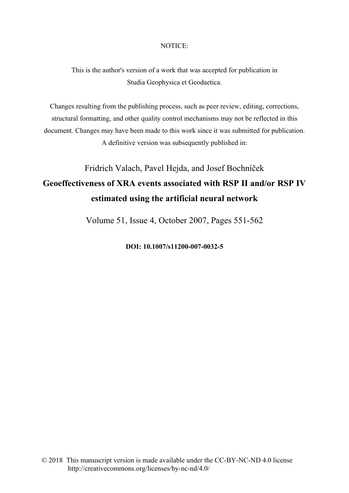# NOTICE:

This is the author's version of a work that was accepted for publication in Studia Geophysica et Geodaetica.

Changes resulting from the publishing process, such as peer review, editing, corrections, structural formatting, and other quality control mechanisms may not be reflected in this document. Changes may have been made to this work since it was submitted for publication. A definitive version was subsequently published in:

# Fridrich Valach, Pavel Hejda, and Josef Bochníček

# **Geoeffectiveness of XRA events associated with RSP II and/or RSP IV estimated using the artificial neural network**

Volume 51, Issue 4, October 2007, Pages 551-562

**DOI: 10.1007/s11200-007-0032-5**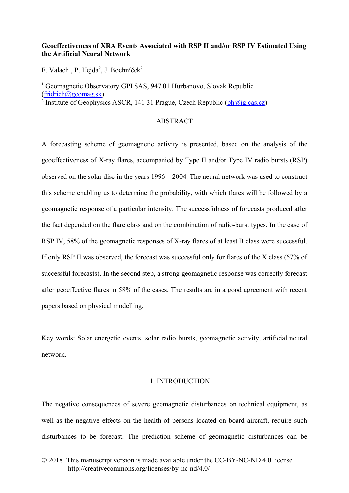# **Geoeffectiveness of XRA Events Associated with RSP II and/or RSP IV Estimated Using the Artificial Neural Network**

F. Valach<sup>1</sup>, P. Hejda<sup>2</sup>, J. Bochníček<sup>2</sup>

<sup>1</sup> Geomagnetic Observatory GPI SAS, 947 01 Hurbanovo, Slovak Republic [\(fridrich@geomag.sk\)](mailto:fridrich@geomag.sk) <sup>2</sup> Institute of Geophysics ASCR, 141 31 Prague, Czech Republic (*ph@ig.cas.cz*)

### **ABSTRACT**

A forecasting scheme of geomagnetic activity is presented, based on the analysis of the geoeffectiveness of X-ray flares, accompanied by Type II and/or Type IV radio bursts (RSP) observed on the solar disc in the years 1996 – 2004. The neural network was used to construct this scheme enabling us to determine the probability, with which flares will be followed by a geomagnetic response of a particular intensity. The successfulness of forecasts produced after the fact depended on the flare class and on the combination of radio-burst types. In the case of RSP IV, 58% of the geomagnetic responses of X-ray flares of at least B class were successful. If only RSP II was observed, the forecast was successful only for flares of the X class (67% of successful forecasts). In the second step, a strong geomagnetic response was correctly forecast after geoeffective flares in 58% of the cases. The results are in a good agreement with recent papers based on physical modelling.

Key words: Solar energetic events, solar radio bursts, geomagnetic activity, artificial neural network.

### 1. INTRODUCTION

The negative consequences of severe geomagnetic disturbances on technical equipment, as well as the negative effects on the health of persons located on board aircraft, require such disturbances to be forecast. The prediction scheme of geomagnetic disturbances can be

<sup>© 2018</sup> This manuscript version is made available under the CC-BY-NC-ND 4.0 license http://creativecommons.org/licenses/by-nc-nd/4.0/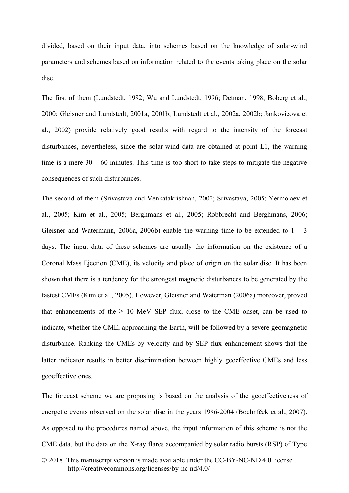divided, based on their input data, into schemes based on the knowledge of solar-wind parameters and schemes based on information related to the events taking place on the solar disc.

The first of them (Lundstedt, 1992; Wu and Lundstedt, 1996; Detman, 1998; Boberg et al., 2000; Gleisner and Lundstedt, 2001a, 2001b; Lundstedt et al., 2002a, 2002b; Jankovicova et al., 2002) provide relatively good results with regard to the intensity of the forecast disturbances, nevertheless, since the solar-wind data are obtained at point L1, the warning time is a mere  $30 - 60$  minutes. This time is too short to take steps to mitigate the negative consequences of such disturbances.

The second of them (Srivastava and Venkatakrishnan, 2002; Srivastava, 2005; Yermolaev et al., 2005; Kim et al., 2005; Berghmans et al., 2005; Robbrecht and Berghmans, 2006; Gleisner and Watermann, 2006a, 2006b) enable the warning time to be extended to  $1 - 3$ days. The input data of these schemes are usually the information on the existence of a Coronal Mass Ejection (CME), its velocity and place of origin on the solar disc. It has been shown that there is a tendency for the strongest magnetic disturbances to be generated by the fastest CMEs (Kim et al., 2005). However, Gleisner and Waterman (2006a) moreover, proved that enhancements of the  $\geq 10$  MeV SEP flux, close to the CME onset, can be used to indicate, whether the CME, approaching the Earth, will be followed by a severe geomagnetic disturbance. Ranking the CMEs by velocity and by SEP flux enhancement shows that the latter indicator results in better discrimination between highly geoeffective CMEs and less geoeffective ones.

The forecast scheme we are proposing is based on the analysis of the geoeffectiveness of energetic events observed on the solar disc in the years 1996-2004 (Bochníček et al., 2007). As opposed to the procedures named above, the input information of this scheme is not the CME data, but the data on the X-ray flares accompanied by solar radio bursts (RSP) of Type

<sup>© 2018</sup> This manuscript version is made available under the CC-BY-NC-ND 4.0 license http://creativecommons.org/licenses/by-nc-nd/4.0/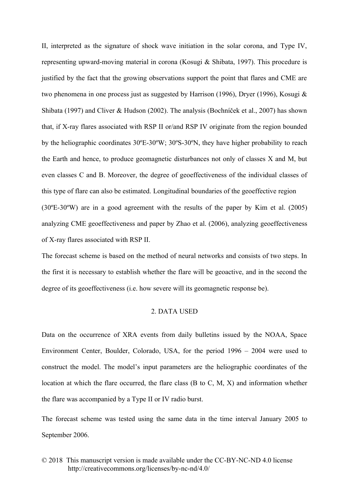II, interpreted as the signature of shock wave initiation in the solar corona, and Type IV, representing upward-moving material in corona (Kosugi & Shibata, 1997). This procedure is justified by the fact that the growing observations support the point that flares and CME are two phenomena in one process just as suggested by Harrison (1996), Dryer (1996), Kosugi & Shibata (1997) and Cliver & Hudson (2002). The analysis (Bochníček et al., 2007) has shown that, if X-ray flares associated with RSP II or/and RSP IV originate from the region bounded by the heliographic coordinates 30ºE-30ºW; 30ºS-30ºN, they have higher probability to reach the Earth and hence, to produce geomagnetic disturbances not only of classes X and M, but even classes C and B. Moreover, the degree of geoeffectiveness of the individual classes of this type of flare can also be estimated. Longitudinal boundaries of the geoeffective region (30ºE-30ºW) are in a good agreement with the results of the paper by Kim et al. (2005) analyzing CME geoeffectiveness and paper by Zhao et al. (2006), analyzing geoeffectiveness of X-ray flares associated with RSP II.

The forecast scheme is based on the method of neural networks and consists of two steps. In the first it is necessary to establish whether the flare will be geoactive, and in the second the degree of its geoeffectiveness (i.e. how severe will its geomagnetic response be).

### 2. DATA USED

Data on the occurrence of XRA events from daily bulletins issued by the NOAA, Space Environment Center, Boulder, Colorado, USA, for the period 1996 – 2004 were used to construct the model. The model's input parameters are the heliographic coordinates of the location at which the flare occurred, the flare class (B to C, M, X) and information whether the flare was accompanied by a Type II or IV radio burst.

The forecast scheme was tested using the same data in the time interval January 2005 to September 2006.

<sup>© 2018</sup> This manuscript version is made available under the CC-BY-NC-ND 4.0 license http://creativecommons.org/licenses/by-nc-nd/4.0/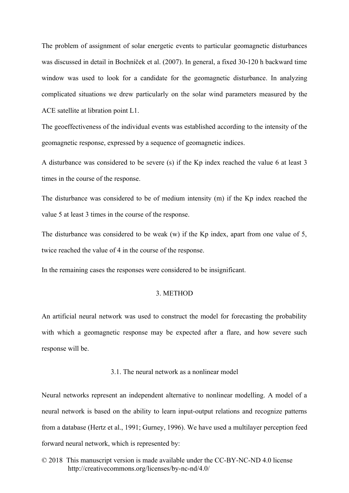The problem of assignment of solar energetic events to particular geomagnetic disturbances was discussed in detail in Bochníček et al. (2007). In general, a fixed 30-120 h backward time window was used to look for a candidate for the geomagnetic disturbance. In analyzing complicated situations we drew particularly on the solar wind parameters measured by the ACE satellite at libration point L1.

The geoeffectiveness of the individual events was established according to the intensity of the geomagnetic response, expressed by a sequence of geomagnetic indices.

A disturbance was considered to be severe (s) if the Kp index reached the value 6 at least 3 times in the course of the response.

The disturbance was considered to be of medium intensity (m) if the Kp index reached the value 5 at least 3 times in the course of the response.

The disturbance was considered to be weak (w) if the Kp index, apart from one value of 5, twice reached the value of 4 in the course of the response.

In the remaining cases the responses were considered to be insignificant.

# 3. METHOD

An artificial neural network was used to construct the model for forecasting the probability with which a geomagnetic response may be expected after a flare, and how severe such response will be.

# 3.1. The neural network as a nonlinear model

Neural networks represent an independent alternative to nonlinear modelling. A model of a neural network is based on the ability to learn input-output relations and recognize patterns from a database (Hertz et al., 1991; Gurney, 1996). We have used a multilayer perception feed forward neural network, which is represented by: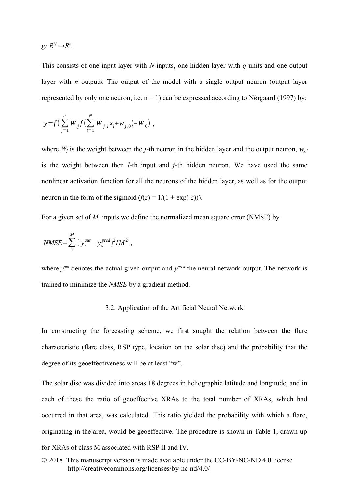$g: R^N \rightarrow R^n$ .

This consists of one input layer with *N* inputs, one hidden layer with *q* units and one output layer with *n* outputs. The output of the model with a single output neuron (output layer represented by only one neuron, i.e.  $n = 1$ ) can be expressed according to N $\acute{o}r$ gaard (1997) by:

$$
y = f\left(\sum_{j=1}^{q} W_j f\left(\sum_{l=1}^{N} W_{j,l} x_l + w_{j,0}\right) + W_0\right) ,
$$

where  $W_i$  is the weight between the *j*-th neuron in the hidden layer and the output neuron,  $w_{i,l}$ is the weight between then *l*-th input and *j*-th hidden neuron. We have used the same nonlinear activation function for all the neurons of the hidden layer, as well as for the output neuron in the form of the sigmoid  $(f(z) = 1/(1 + \exp(-z)))$ .

For a given set of *M* inputs we define the normalized mean square error (NMSE) by

,

$$
NMSE = \sum_{1}^{M} (y_s^{out} - y_s^{pred})^2 / M^2
$$

where  $y^{out}$  denotes the actual given output and  $y^{pred}$  the neural network output. The network is trained to minimize the *NMSE* by a gradient method.

#### 3.2. Application of the Artificial Neural Network

In constructing the forecasting scheme, we first sought the relation between the flare characteristic (flare class, RSP type, location on the solar disc) and the probability that the degree of its geoeffectiveness will be at least "w".

The solar disc was divided into areas 18 degrees in heliographic latitude and longitude, and in each of these the ratio of geoeffective XRAs to the total number of XRAs, which had occurred in that area, was calculated. This ratio yielded the probability with which a flare, originating in the area, would be geoeffective. The procedure is shown in Table 1, drawn up for XRAs of class M associated with RSP II and IV.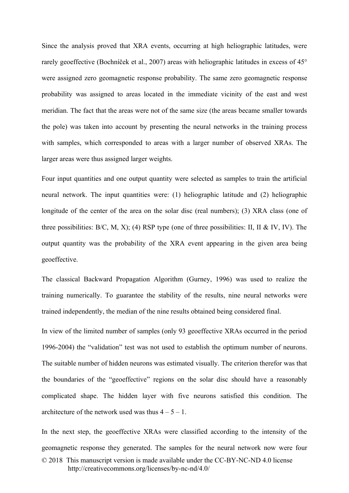Since the analysis proved that XRA events, occurring at high heliographic latitudes, were rarely geoeffective (Bochníček et al., 2007) areas with heliographic latitudes in excess of 45° were assigned zero geomagnetic response probability. The same zero geomagnetic response probability was assigned to areas located in the immediate vicinity of the east and west meridian. The fact that the areas were not of the same size (the areas became smaller towards the pole) was taken into account by presenting the neural networks in the training process with samples, which corresponded to areas with a larger number of observed XRAs. The larger areas were thus assigned larger weights.

Four input quantities and one output quantity were selected as samples to train the artificial neural network. The input quantities were: (1) heliographic latitude and (2) heliographic longitude of the center of the area on the solar disc (real numbers); (3) XRA class (one of three possibilities:  $B/C$ , M, X); (4) RSP type (one of three possibilities: II, II & IV, IV). The output quantity was the probability of the XRA event appearing in the given area being geoeffective.

The classical Backward Propagation Algorithm (Gurney, 1996) was used to realize the training numerically. To guarantee the stability of the results, nine neural networks were trained independently, the median of the nine results obtained being considered final.

In view of the limited number of samples (only 93 geoeffective XRAs occurred in the period 1996-2004) the "validation" test was not used to establish the optimum number of neurons. The suitable number of hidden neurons was estimated visually. The criterion therefor was that the boundaries of the "geoeffective" regions on the solar disc should have a reasonably complicated shape. The hidden layer with five neurons satisfied this condition. The architecture of the network used was thus  $4 - 5 - 1$ .

In the next step, the geoeffective XRAs were classified according to the intensity of the geomagnetic response they generated. The samples for the neural network now were four © 2018 This manuscript version is made available under the CC-BY-NC-ND 4.0 license http://creativecommons.org/licenses/by-nc-nd/4.0/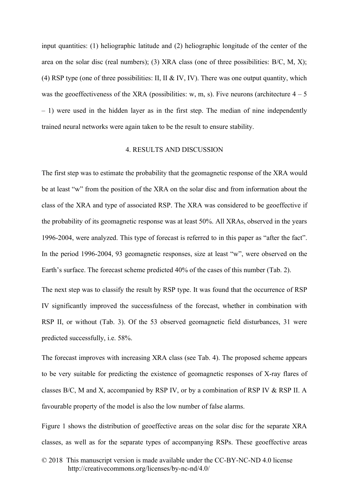input quantities: (1) heliographic latitude and (2) heliographic longitude of the center of the area on the solar disc (real numbers); (3) XRA class (one of three possibilities:  $B/C$ ,  $M$ ,  $X$ ); (4) RSP type (one of three possibilities: II, II & IV, IV). There was one output quantity, which was the geoeffectiveness of the XRA (possibilities: w, m, s). Five neurons (architecture  $4 - 5$ – 1) were used in the hidden layer as in the first step. The median of nine independently trained neural networks were again taken to be the result to ensure stability.

#### 4. RESULTS AND DISCUSSION

The first step was to estimate the probability that the geomagnetic response of the XRA would be at least "w" from the position of the XRA on the solar disc and from information about the class of the XRA and type of associated RSP. The XRA was considered to be geoeffective if the probability of its geomagnetic response was at least 50%. All XRAs, observed in the years 1996-2004, were analyzed. This type of forecast is referred to in this paper as "after the fact". In the period 1996-2004, 93 geomagnetic responses, size at least "w", were observed on the Earth's surface. The forecast scheme predicted 40% of the cases of this number (Tab. 2).

The next step was to classify the result by RSP type. It was found that the occurrence of RSP IV significantly improved the successfulness of the forecast, whether in combination with RSP II, or without (Tab. 3). Of the 53 observed geomagnetic field disturbances, 31 were predicted successfully, i.e. 58%.

The forecast improves with increasing XRA class (see Tab. 4). The proposed scheme appears to be very suitable for predicting the existence of geomagnetic responses of X-ray flares of classes B/C, M and X, accompanied by RSP IV, or by a combination of RSP IV & RSP II. A favourable property of the model is also the low number of false alarms.

Figure 1 shows the distribution of geoeffective areas on the solar disc for the separate XRA classes, as well as for the separate types of accompanying RSPs. These geoeffective areas

<sup>© 2018</sup> This manuscript version is made available under the CC-BY-NC-ND 4.0 license http://creativecommons.org/licenses/by-nc-nd/4.0/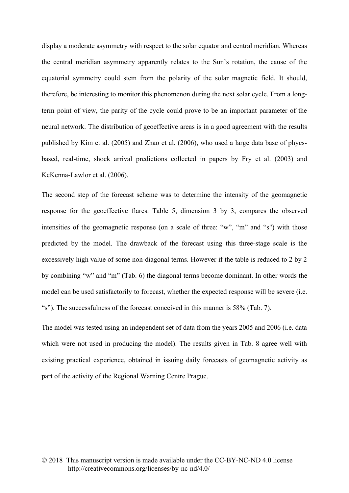display a moderate asymmetry with respect to the solar equator and central meridian. Whereas the central meridian asymmetry apparently relates to the Sun's rotation, the cause of the equatorial symmetry could stem from the polarity of the solar magnetic field. It should, therefore, be interesting to monitor this phenomenon during the next solar cycle. From a longterm point of view, the parity of the cycle could prove to be an important parameter of the neural network. The distribution of geoeffective areas is in a good agreement with the results published by Kim et al. (2005) and Zhao et al. (2006), who used a large data base of phycsbased, real-time, shock arrival predictions collected in papers by Fry et al. (2003) and KcKenna-Lawlor et al. (2006).

The second step of the forecast scheme was to determine the intensity of the geomagnetic response for the geoeffective flares. Table 5, dimension 3 by 3, compares the observed intensities of the geomagnetic response (on a scale of three: "w", "m" and "s") with those predicted by the model. The drawback of the forecast using this three-stage scale is the excessively high value of some non-diagonal terms. However if the table is reduced to 2 by 2 by combining "w" and "m" (Tab. 6) the diagonal terms become dominant. In other words the model can be used satisfactorily to forecast, whether the expected response will be severe (i.e. "s"). The successfulness of the forecast conceived in this manner is 58% (Tab. 7).

The model was tested using an independent set of data from the years 2005 and 2006 (i.e. data which were not used in producing the model). The results given in Tab. 8 agree well with existing practical experience, obtained in issuing daily forecasts of geomagnetic activity as part of the activity of the Regional Warning Centre Prague.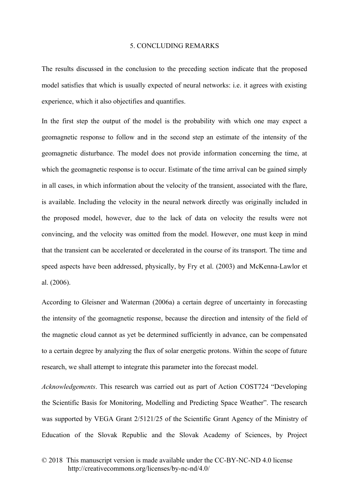#### 5. CONCLUDING REMARKS

The results discussed in the conclusion to the preceding section indicate that the proposed model satisfies that which is usually expected of neural networks: i.e. it agrees with existing experience, which it also objectifies and quantifies.

In the first step the output of the model is the probability with which one may expect a geomagnetic response to follow and in the second step an estimate of the intensity of the geomagnetic disturbance. The model does not provide information concerning the time, at which the geomagnetic response is to occur. Estimate of the time arrival can be gained simply in all cases, in which information about the velocity of the transient, associated with the flare, is available. Including the velocity in the neural network directly was originally included in the proposed model, however, due to the lack of data on velocity the results were not convincing, and the velocity was omitted from the model. However, one must keep in mind that the transient can be accelerated or decelerated in the course of its transport. The time and speed aspects have been addressed, physically, by Fry et al. (2003) and McKenna-Lawlor et al. (2006).

According to Gleisner and Waterman (2006a) a certain degree of uncertainty in forecasting the intensity of the geomagnetic response, because the direction and intensity of the field of the magnetic cloud cannot as yet be determined sufficiently in advance, can be compensated to a certain degree by analyzing the flux of solar energetic protons. Within the scope of future research, we shall attempt to integrate this parameter into the forecast model.

*Acknowledgements*. This research was carried out as part of Action COST724 "Developing the Scientific Basis for Monitoring, Modelling and Predicting Space Weather". The research was supported by VEGA Grant 2/5121/25 of the Scientific Grant Agency of the Ministry of Education of the Slovak Republic and the Slovak Academy of Sciences, by Project

<sup>© 2018</sup> This manuscript version is made available under the CC-BY-NC-ND 4.0 license http://creativecommons.org/licenses/by-nc-nd/4.0/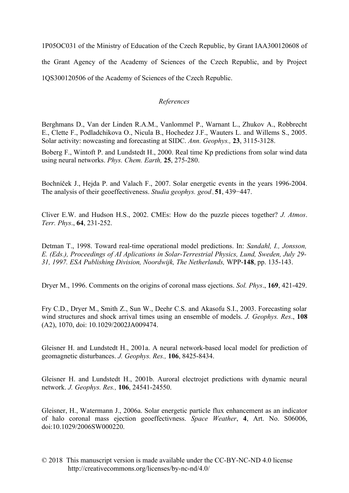1P05OC031 of the Ministry of Education of the Czech Republic, by Grant IAA300120608 of the Grant Agency of the Academy of Sciences of the Czech Republic, and by Project 1QS300120506 of the Academy of Sciences of the Czech Republic.

# *References*

Berghmans D., Van der Linden R.A.M., Vanlommel P., Warnant L., Zhukov A., Robbrecht E., Clette F., Podladchikova O., Nicula B., Hochedez J.F., Wauters L. and Willems S., 2005. Solar activity: nowcasting and forecasting at SIDC. *Ann. Geophys.,* **23**, 3115-3128.

Boberg F., Wintoft P. and Lundstedt H., 2000. Real time Kp predictions from solar wind data using neural networks. *Phys. Chem. Earth,* **25**, 275-280.

Bochníček J., Hejda P. and Valach F., 2007. Solar energetic events in the years 1996-2004. The analysis of their geoeffectiveness. *Studia geophys. geod*., **51**, 439−447.

Cliver E.W. and Hudson H.S., 2002. CMEs: How do the puzzle pieces together? *J. Atmos*. *Terr. Phys*., **64**, 231-252.

Detman T., 1998. Toward real-time operational model predictions. In: *Sandahl, I., Jonsson, E. (Eds.), Proceedings of AI Aplications in Solar-Terrestrial Physics, Lund, Sweden, July 29- 31, 1997. ESA Publishing Division, Noordwijk, The Netherlands,* WPP-**148**, pp. 135-143.

Dryer M., 1996. Comments on the origins of coronal mass ejections. *Sol. Phys*., **169**, 421-429.

Fry C.D., Dryer M., Smith Z., Sun W., Deehr C.S. and Akasofu S.I., 2003. Forecasting solar wind structures and shock arrival times using an ensemble of models. *J. Geophys. Res*., **108** (A2), 1070, doi: 10.1029/2002JA009474.

Gleisner H. and Lundstedt H., 2001a. A neural network-based local model for prediction of geomagnetic disturbances. *J. Geophys. Res.,* **106**, 8425-8434.

Gleisner H. and Lundstedt H., 2001b. Auroral electrojet predictions with dynamic neural network. *J. Geophys. Res.,* **106**, 24541-24550.

Gleisner, H., Watermann J., 2006a. Solar energetic particle flux enhancement as an indicator of halo coronal mass ejection geoeffectivness. *Space Weather*, **4**, Art. No. S06006, doi:10.1029/2006SW000220.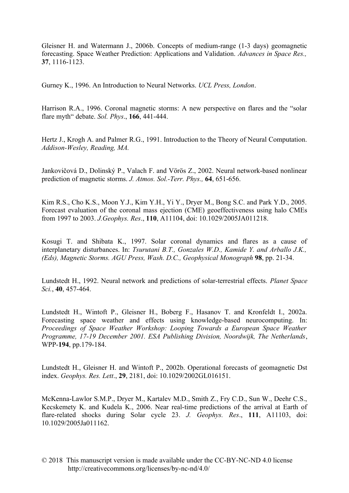Gleisner H. and Watermann J., 2006b. Concepts of medium-range (1-3 days) geomagnetic forecasting. Space Weather Prediction: Applications and Validation. *Advances in Space Res.,* **37**, 1116-1123.

Gurney K., 1996. An Introduction to Neural Networks. *UCL Press, London*.

Harrison R.A., 1996. Coronal magnetic storms: A new perspective on flares and the "solar flare myth" debate. *Sol. Phys*., **166**, 441-444.

Hertz J., Krogh A. and Palmer R.G., 1991. Introduction to the Theory of Neural Computation. *Addison-Wesley, Reading, MA.*

Jankovičová D., Dolinský P., Valach F. and Vörös Z., 2002. Neural network-based nonlinear prediction of magnetic storms. *J. Atmos. Sol.-Terr. Phys.,* **64**, 651-656.

Kim R.S., Cho K.S., Moon Y.J., Kim Y.H., Yi Y., Dryer M., Bong S.C. and Park Y.D., 2005. Forecast evaluation of the coronal mass ejection (CME) geoeffectiveness using halo CMEs from 1997 to 2003. *J.Geophys. Res*., **110**, A11104, doi: 10.1029/2005JA011218.

Kosugi T. and Shibata K., 1997. Solar coronal dynamics and flares as a cause of interplanetary disturbances. In: *Tsurutani B.T., Gonzales W.D., Kamide Y. and Arballo J.K., (Eds), Magnetic Storms. AGU Press, Wash. D.C., Geophysical Monograph* **98**, pp. 21-34.

Lundstedt H., 1992. Neural network and predictions of solar-terrestrial effects. *Planet Space Sci.*, **40**, 457-464.

Lundstedt H., Wintoft P., Gleisner H., Boberg F., Hasanov T. and Kronfeldt I., 2002a. Forecasting space weather and effects using knowledge-based neurocomputing. In: *Proceedings of Space Weather Workshop: Looping Towards a European Space Weather Programme, 17-19 December 2001. ESA Publishing Division, Noordwijk, The Netherlands*, WPP-**194**, pp.179-184.

Lundstedt H., Gleisner H. and Wintoft P., 2002b. Operational forecasts of geomagnetic Dst index. *Geophys. Res. Lett*., **29**, 2181, doi: 10.1029/2002GL016151.

McKenna-Lawlor S.M.P., Dryer M., Kartalev M.D., Smith Z., Fry C.D., Sun W., Deehr C.S., Kecskemety K. and Kudela K., 2006. Near real-time predictions of the arrival at Earth of flare-related shocks during Solar cycle 23. *J. Geophys. Res*., **111**, A11103, doi: 10.1029/2005Ja011162.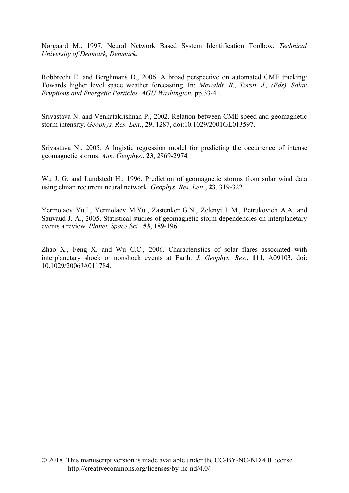Nørgaard M., 1997. Neural Network Based System Identification Toolbox. *Technical University of Denmark, Denmark.*

Robbrecht E. and Berghmans D., 2006. A broad perspective on automated CME tracking: Towards higher level space weather forecasting. In: *Mewaldt, R., Torsti, J., (Eds), Solar Eruptions and Energetic Particles. AGU Washington.* pp.33-41.

Srivastava N. and Venkatakrishnan P., 2002. Relation between CME speed and geomagnetic storm intensity. *Geophys. Res. Lett*., **29**, 1287, doi:10.1029/2001GL013597.

Srivastava N., 2005. A logistic regression model for predicting the occurrence of intense geomagnetic storms. *Ann. Geophys.*, **23**, 2969-2974.

Wu J. G. and Lundstedt H., 1996. Prediction of geomagnetic storms from solar wind data using elman recurrent neural network. *Geophys. Res. Lett*., **23**, 319-322.

Yermolaev Yu.I., Yermolaev M.Yu., Zastenker G.N., Zelenyi L.M., Petrukovich A.A. and Sauvaud J.-A., 2005. Statistical studies of geomagnetic storm dependencies on interplanetary events a review. *Planet. Space Sci.,* **53**, 189-196.

Zhao X., Feng X. and Wu C.C., 2006. Characteristics of solar flares associated with interplanetary shock or nonshock events at Earth. *J. Geophys. Res*., **111**, A09103, doi: 10.1029/2006JA011784.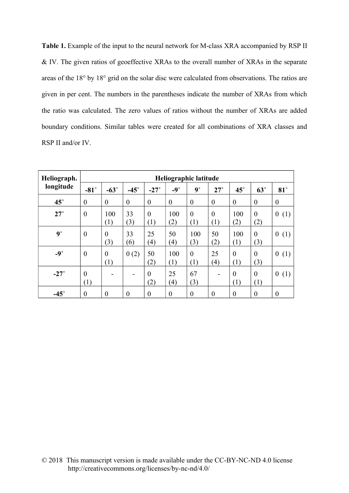**Table 1.** Example of the input to the neural network for M-class XRA accompanied by RSP II & IV. The given ratios of geoeffective XRAs to the overall number of XRAs in the separate areas of the 18° by 18° grid on the solar disc were calculated from observations. The ratios are given in per cent. The numbers in the parentheses indicate the number of XRAs from which the ratio was calculated. The zero values of ratios without the number of XRAs are added boundary conditions. Similar tables were created for all combinations of XRA classes and RSP II and/or IV.

| Heliograph. | Heliographic latitude |                         |                  |                  |                         |                       |                       |                  |                       |                         |
|-------------|-----------------------|-------------------------|------------------|------------------|-------------------------|-----------------------|-----------------------|------------------|-----------------------|-------------------------|
| longitude   | $-81^\circ$           | $-63^\circ$             | $-45^\circ$      | $-27^\circ$      | $-9^\circ$              | $9^\circ$             | $27^\circ$            | $45^\circ$       | $63^\circ$            | $81^\circ$              |
| $45^\circ$  | $\overline{0}$        | $\theta$                | $\boldsymbol{0}$ | $\boldsymbol{0}$ | $\boldsymbol{0}$        | $\theta$              | $\boldsymbol{0}$      | $\theta$         | $\overline{0}$        | $\boldsymbol{0}$        |
| $27^\circ$  | $\theta$              | 100<br>(1)              | 33<br>(3)        | $\theta$<br>(1)  | 100<br>(2)              | $\theta$<br>(1)       | $\overline{0}$<br>(1) | 100<br>(2)       | $\theta$<br>(2)       | $\boldsymbol{0}$<br>(1) |
| $9^\circ$   | $\theta$              | $\theta$<br>(3)         | 33<br>(6)        | 25<br>(4)        | 50<br>$\left(4\right)$  | 100<br>(3)            | 50<br>(2)             | 100<br>(1)       | $\theta$<br>(3)       | $\boldsymbol{0}$<br>(1) |
| $-9^\circ$  | $\boldsymbol{0}$      | $\boldsymbol{0}$<br>(1) | 0(2)             | 50<br>(2)        | 100<br>(1)              | $\overline{0}$<br>(1) | 25<br>(4)             | $\theta$<br>(1)  | $\overline{0}$<br>(3) | (1)<br>$\overline{0}$   |
| $-27^\circ$ | $\theta$<br>(1)       |                         |                  | $\theta$<br>(2)  | 25<br>$\left( 4\right)$ | 67<br>(3)             |                       | $\theta$<br>(1)  | $\overline{0}$<br>(1) | $\boldsymbol{0}$<br>(1) |
| $-45^\circ$ | $\boldsymbol{0}$      | $\boldsymbol{0}$        | $\boldsymbol{0}$ | $\boldsymbol{0}$ | $\boldsymbol{0}$        | $\boldsymbol{0}$      | $\boldsymbol{0}$      | $\boldsymbol{0}$ | $\boldsymbol{0}$      | $\boldsymbol{0}$        |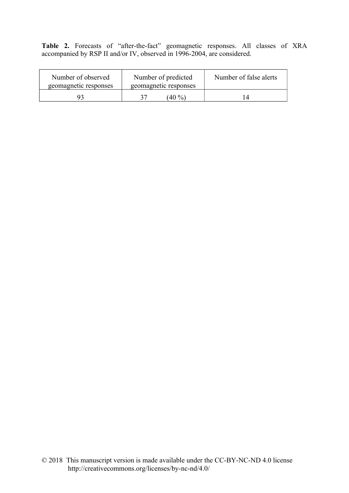**Table 2.** Forecasts of "after-the-fact" geomagnetic responses. All classes of XRA accompanied by RSP II and/or IV, observed in 1996-2004, are considered.

| Number of observed<br>geomagnetic responses | Number of predicted<br>geomagnetic responses | Number of false alerts |  |
|---------------------------------------------|----------------------------------------------|------------------------|--|
| ុ                                           | $(40\%)$                                     |                        |  |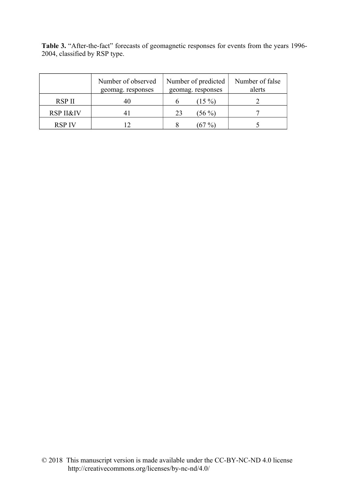Table 3. "After-the-fact" forecasts of geomagnetic responses for events from the years 1996-2004, classified by RSP type.

|                      | Number of observed<br>geomag. responses | Number of predicted<br>geomag. responses | Number of false<br>alerts |
|----------------------|-----------------------------------------|------------------------------------------|---------------------------|
| RSP II               | 40                                      | $(15\%)$                                 |                           |
| <b>RSP II&amp;IV</b> |                                         | $(56\,\% )$<br>23                        |                           |
| <b>RSP IV</b>        |                                         |                                          |                           |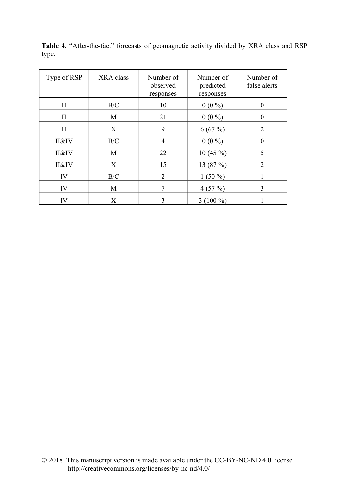| Type of RSP  | XRA class | Number of<br>observed<br>responses | Number of<br>predicted<br>responses | Number of<br>false alerts |
|--------------|-----------|------------------------------------|-------------------------------------|---------------------------|
| $\rm{II}$    | B/C       | 10                                 | $0(0\%)$                            |                           |
| $\mathbf{I}$ | M         | 21                                 | $0(0\%)$                            | $\theta$                  |
| $\mathbf{I}$ | X         | 9                                  | 6(67%)                              | $\overline{2}$            |
| II&IV        | B/C       | $\overline{4}$                     | $0(0\%)$                            | 0                         |
| II&IV        | M         | 22                                 | $10(45\%)$                          | 5                         |
| II&IV        | X         | 15                                 | 13 (87 %)                           | 2                         |
| IV           | B/C       | $\overline{2}$                     | $1(50\%)$                           |                           |
| IV           | M         |                                    | 4(57%)                              | 3                         |
| IV           | X         | 3                                  | $3(100\%)$                          |                           |

**Table 4.** "After-the-fact" forecasts of geomagnetic activity divided by XRA class and RSP type.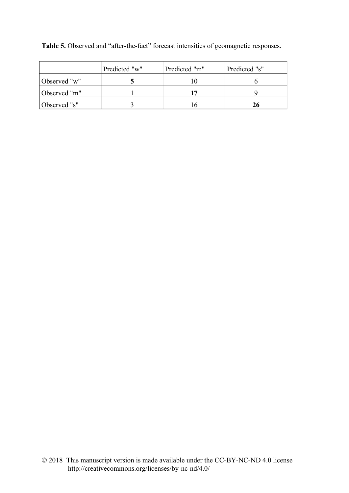|              | Predicted "w" | Predicted "m" | Predicted "s" |
|--------------|---------------|---------------|---------------|
| Observed "w" |               |               |               |
| Observed "m" |               |               |               |
| Observed "s" |               |               |               |

**Table 5.** Observed and "after-the-fact" forecast intensities of geomagnetic responses.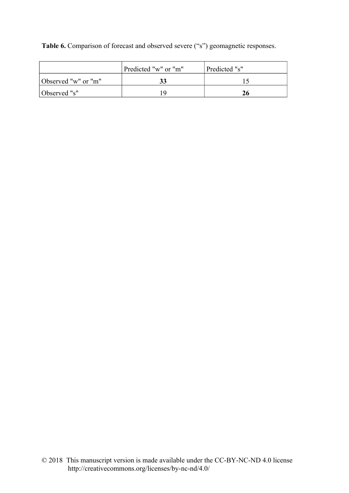**Table 6.** Comparison of forecast and observed severe ("s") geomagnetic responses.

|                     | Predicted "w" or "m" | Predicted "s" |  |  |
|---------------------|----------------------|---------------|--|--|
| Observed "w" or "m" |                      |               |  |  |
| Observed "s"        |                      |               |  |  |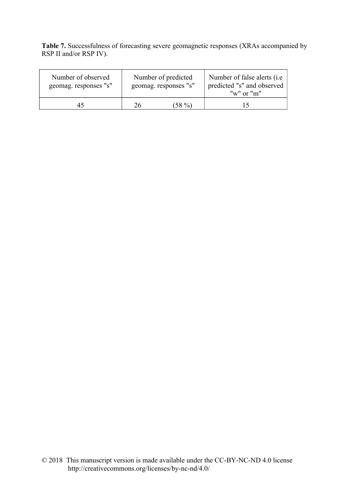**Table 7.** Successfulness of forecasting severe geomagnetic responses (XRAs accompanied by RSP II and/or RSP IV).

| Number of observed<br>geomag. responses "s" | Number of predicted<br>geomag. responses "s" |       | Number of false alerts ( <i>i.e.</i> )<br>predicted "s" and observed<br>" $w$ " or " $m$ " |  |
|---------------------------------------------|----------------------------------------------|-------|--------------------------------------------------------------------------------------------|--|
| 45                                          | 26.                                          | (58%) | $\overline{\phantom{a}}$                                                                   |  |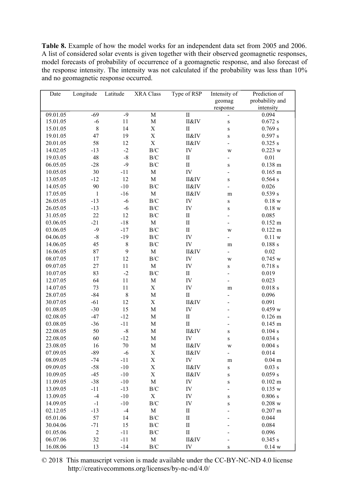**Table 8.** Example of how the model works for an independent data set from 2005 and 2006. A list of considered solar events is given together with their observed geomagnetic responses, model forecasts of probability of occurrence of a geomagnetic response, and also forecast of the response intensity. The intensity was not calculated if the probability was less than 10% and no geomagnetic response occurred.

| Date     | Longitude      | Latitude    | <b>XRA Class</b> | Type of RSP                     | Intensity of             | Prediction of        |
|----------|----------------|-------------|------------------|---------------------------------|--------------------------|----------------------|
|          |                |             |                  |                                 | geomag                   | probability and      |
|          |                |             |                  |                                 | response                 | intensity            |
| 09.01.05 | $-69$          | $-9$        | $\overline{M}$   | $\rm II$                        | $\overline{\phantom{0}}$ | 0.094                |
| 15.01.05 | $-6$           | $11\,$      | M                | II&IV                           | ${\bf S}$                | 0.672 s              |
| 15.01.05 | $\,8\,$        | 14          | $\mathbf X$      | $\mathbf{I}$                    | $\, {\bf S}$             | 0.769 s              |
| 19.01.05 | 47             | 19          | $\mathbf X$      | II&IV                           | ${\bf S}$                | 0.597 s              |
| 20.01.05 | 58             | 12          | $\mathbf X$      | II&IV                           | $\blacksquare$           | 0.325 s              |
| 14.02.05 | $-13$          | $-2$        | $\rm{B/C}$       | IV                              | W                        | $0.223$ w            |
| 19.03.05 | 48             | $\mbox{-}8$ | $\rm{B/C}$       | $\rm II$                        | $\blacksquare$           | 0.01                 |
| 06.05.05 | $-28$          | $-9$        | $\rm{B/C}$       | $\mathbf{I}$                    | ${\bf S}$                | $0.138$ m            |
| 10.05.05 | 30             | $-11$       | $\mathbf M$      | IV                              | $\overline{\phantom{0}}$ | $0.165$ m            |
| 13.05.05 | $-12$          | 12          | $\mathbf M$      | II&IV                           | $\, {\bf S}$             | 0.564 s              |
| 14.05.05 | 90             | $-10$       | $\rm{B/C}$       | II&IV                           | $\blacksquare$           | 0.026                |
| 17.05.05 | $\mathbf{1}$   | $-16$       | $\mathbf M$      | II&IV                           | m                        | 0.539 s              |
| 26.05.05 | $-13$          | $-6$        | $\rm{B/C}$       | IV                              | $\, {\bf S}$             | $0.18~\mathrm{w}$    |
| 26.05.05 | $-13$          | $-6$        | $\rm{B/C}$       | IV                              | $\mathbf S$              | $0.18$ w             |
| 31.05.05 | 22             | 12          | $\rm{B/C}$       | $\mathbf{I}$                    | $\overline{\phantom{0}}$ | 0.085                |
| 03.06.05 | $-21$          | $-18$       | M                | $\mathbf{I}$                    | $\overline{a}$           | $0.152 \text{ m}$    |
| 03.06.05 | $-9$           | $-17$       | $\rm{B/C}$       | $\mathbf{I}$                    | W                        | $0.122 \; m$         |
| 04.06.05 | $-8$           | $-19$       | $\rm{B/C}$       | ${\rm IV}$                      | $\overline{a}$           | $0.11~\rm w$         |
| 14.06.05 | 45             | $\,$ $\,$   | $\rm{B/C}$       | ${\rm IV}$                      | ${\bf m}$                | 0.188 s              |
| 16.06.05 | 87             | 9           | $\mathbf M$      | II&IV                           | $\blacksquare$           | 0.02                 |
| 08.07.05 | 17             | 12          | $\rm{B/C}$       | IV                              | W                        | 0.745 w              |
| 09.07.05 | 27             | 11          | $\mathbf M$      | ${\rm IV}$                      | ${\bf S}$                | $0.718$ s            |
| 10.07.05 | 83             | $-2$        | $\rm{B/C}$       | $\rm II$                        |                          | 0.019                |
| 12.07.05 | 64             | 11          | $\mathbf M$      | IV                              |                          | 0.023                |
| 14.07.05 | 73             | $11\,$      | $\mathbf X$      | ${\rm IV}$                      | m                        | $0.018$ s            |
| 28.07.05 | $-84$          | $\,$ $\,$   | $\mathbf M$      | $\rm II$                        |                          | 0.096                |
| 30.07.05 | $-61$          | 12          | $\mathbf X$      | II&IV                           |                          | 0.091                |
| 01.08.05 | $-30$          | 15          | $\mathbf M$      | IV                              |                          | 0.459 w              |
| 02.08.05 | $-47$          | $-12$       | $\mathbf M$      | $\mathop{\mathrm{II}}\nolimits$ |                          | $0.126$ m            |
| 03.08.05 | $-36$          | $-11$       | $\mathbf M$      | $\rm II$                        |                          | $0.145$ m            |
|          | 50             | $\mbox{-}8$ | $\mathbf M$      |                                 | $\overline{\phantom{0}}$ |                      |
| 22.08.05 |                |             |                  | II&IV                           | $\, {\bf S}$             | 0.104 s              |
| 22.08.05 | 60             | $-12$       | M                | ${\rm IV}$                      | $\, {\bf S}$             | 0.034 s              |
| 23.08.05 | 16             | 70          | $\mathbf M$      | II&IV                           | W                        | 0.004 s              |
| 07.09.05 | $-89$          | $-6$        | X                | <b>II&amp;IV</b>                |                          | 0.014                |
| 08.09.05 | $-74$          | $-11$       | X                | IV                              | m                        | $0.04 \; \mathrm{m}$ |
| 09.09.05 | $-58$          | $-10$       | $\mathbf X$      | II&IV                           | ${\bf S}$                | $0.03$ s             |
| 10.09.05 | $-45$          | $-10$       | X                | II&IV                           | $\mathbf S$              | 0.059 s              |
| 11.09.05 | $-38$          | $-10$       | $\mathbf M$      | IV                              | $\mathbf S$              | $0.102 \; m$         |
| 13.09.05 | $-11$          | $-13$       | $\rm{B/C}$       | IV                              |                          | 0.135 w              |
| 13.09.05 | $-4$           | $-10$       | $\mathbf X$      | IV                              | $\mathbf S$              | 0.806 s              |
| 14.09.05 | $-1$           | $-10$       | $\rm{B/C}$       | IV                              | S                        | $0.208$ w            |
| 02.12.05 | $-13$          | $-4$        | $\mathbf M$      | $\rm II$                        |                          | $0.207$ m            |
| 05.01.06 | 57             | 14          | $\rm{B/C}$       | $\rm II$                        |                          | 0.044                |
| 30.04.06 | $-71$          | 15          | B/C              | $\rm II$                        |                          | 0.084                |
| 01.05.06 | $\mathfrak{2}$ | $-11$       | $\rm{B/C}$       | $\rm II$                        |                          | 0.096                |
| 06.07.06 | 32             | $-11$       | M                | II&IV                           |                          | 0.345 s              |
| 16.08.06 | 13             | $-14$       | B/C              | IV                              | $\, {\bf S}$             | 0.14 w               |